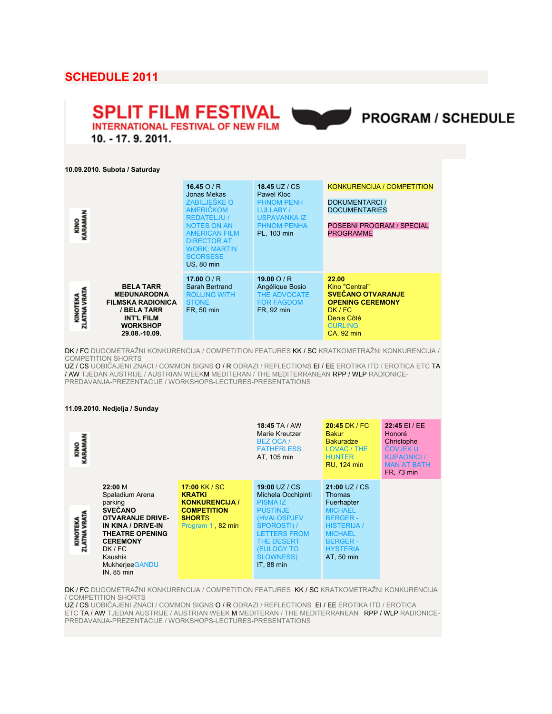# **SCHEDULE 2011**

# **SPLIT FILM FESTIVAL INTERNATIONAL FESTIVAL OF NEW FILM**



10. - 17. 9. 2011.

**10.09.2010. Subota / Saturday**

| KINO<br>KARAMAN          |                                                                                                                                            | 16.45 $O/R$<br>Jonas Mekas<br>ZABILJEŠKE O<br><b>AMERIČKOM</b><br><b>REDATELJU /</b><br><b>NOTES ON AN</b><br><b>AMERICAN FILM</b><br><b>DIRECTOR AT</b><br><b>WORK: MARTIN</b><br><b>SCORSESE</b><br><b>US, 80 min</b> | <b>18.45 UZ / CS</b><br>Pawel Kloc<br><b>PHNOM PENH</b><br>LULLABY /<br><b>USPAVANKA IZ</b><br><b>PHNOM PENHA</b><br>PL. 103 min | <b>KONKURENCIJA / COMPETITION</b><br>DOKUMENTARCI /<br><b>DOCUMENTARIES</b><br>POSEBNI PROGRAM / SPECIAL<br><b>PROGRAMME</b>            |
|--------------------------|--------------------------------------------------------------------------------------------------------------------------------------------|-------------------------------------------------------------------------------------------------------------------------------------------------------------------------------------------------------------------------|----------------------------------------------------------------------------------------------------------------------------------|-----------------------------------------------------------------------------------------------------------------------------------------|
| KINOTEKA<br>ZLATNA VRATA | <b>BELA TARR</b><br><b>MEĐUNARODNA</b><br><b>FILMSKA RADIONICA</b><br>/ BELA TARR<br><b>INT'L FILM</b><br><b>WORKSHOP</b><br>29.08.-10.09. | 17.00 $O/R$<br>Sarah Bertrand<br><b>ROLLING WITH</b><br><b>STONE</b><br>FR, 50 min                                                                                                                                      | 19.00 $O/R$<br>Angélique Bosio<br>THE ADVOCATE<br><b>FOR FAGDOM</b><br>FR, 92 min                                                | 22.00<br>Kino "Central"<br><b>SVEČANO OTVARANJE</b><br><b>OPENING CEREMONY</b><br>DK / FC<br>Denis Côté<br><b>CURLING</b><br>CA, 92 min |

DK / FC DUGOMETRAŽNI KONKURENCIJA / COMPETITION FEATURES KK / SC KRATKOMETRAŽNI KONKURENCIJA / COMPETITION SHORTS

UZ / CS UOBIČAJENI ZNACI / COMMON SIGNS O / R ODRAZI / REFLECTIONS EI / EE EROTIKA ITD / EROTICA ETC TA / AW TJEDAN AUSTRIJE / AUSTRIAN WEEKM MEDITERAN / THE MEDITERRANEAN RPP / WLP RADIONICE-PREDAVANJA-PREZENTACIJE / WORKSHOPS-LECTURES-PRESENTATIONS

#### **11.09.2010. Nedjelja / Sunday**

| KINO<br>KARAMAN          |                                                                                                                                                                                                                   |                                                                                                                    | <b>18:45 TA / AW</b><br>Marie Kreutzer<br>BEZ OCA /<br><b>FATHERLESS</b><br>AT, 105 min                                                                                                                           | $20:45$ DK / FC<br><b>Bakur</b><br><b>Bakuradze</b><br>LOVAC / THE<br><b>HUNTER</b><br><b>RU, 124 min</b>                                                                     | 22:45 EI / EE<br>Honoré<br>Christophe<br>ČOVJEK U<br><b>KUPAONICI</b> /<br><b>MAN AT BATH</b><br>FR, 73 min |
|--------------------------|-------------------------------------------------------------------------------------------------------------------------------------------------------------------------------------------------------------------|--------------------------------------------------------------------------------------------------------------------|-------------------------------------------------------------------------------------------------------------------------------------------------------------------------------------------------------------------|-------------------------------------------------------------------------------------------------------------------------------------------------------------------------------|-------------------------------------------------------------------------------------------------------------|
| KINOTEKA<br>ZLATNA VRATA | 22:00 M<br>Spaladium Arena<br>parking<br><b>SVEČANO</b><br><b>OTVARANJE DRIVE-</b><br>IN KINA / DRIVE-IN<br><b>THEATRE OPENING</b><br><b>CEREMONY</b><br>DK/FC<br>Kaushik<br><b>Mukherjee GANDU</b><br>IN, 85 min | 17:00 KK / SC<br><b>KRATKI</b><br><b>KONKURENCIJA /</b><br><b>COMPETITION</b><br><b>SHORTS</b><br>Program 1 82 min | 19:00 UZ / CS<br>Michela Occhipinti<br><b>PISMA IZ</b><br><b>PUSTINJE</b><br>(HVALOSPJEV<br><b>SPOROSTI) /</b><br><b>LETTERS FROM</b><br><b>THE DESERT</b><br><b>(EULOGY TO</b><br><b>SLOWNESS)</b><br>IT, 88 min | $21:00$ UZ / CS<br><b>Thomas</b><br>Fuerhapter<br><b>MICHAEL</b><br><b>BERGER-</b><br><b>HISTERIJA</b> /<br><b>MICHAEL</b><br><b>BERGER-</b><br><b>HYSTERIA</b><br>AT, 50 min |                                                                                                             |

DK / FC DUGOMETRAŽNI KONKURENCIJA / COMPETITION FEATURES KK / SC KRATKOMETRAŽNI KONKURENCIJA / COMPETITION SHORTS

UZ / CS UOBIČAJENI ZNACI / COMMON SIGNS O / R ODRAZI / REFLECTIONS EI / EE EROTIKA ITD / EROTICA ETC TA / AW TJEDAN AUSTRIJE / AUSTRIAN WEEK M MEDITERAN / THE MEDITERRANEAN RPP / WLP RADIONICE-PREDAVANJA-PREZENTACIJE / WORKSHOPS-LECTURES-PRESENTATIONS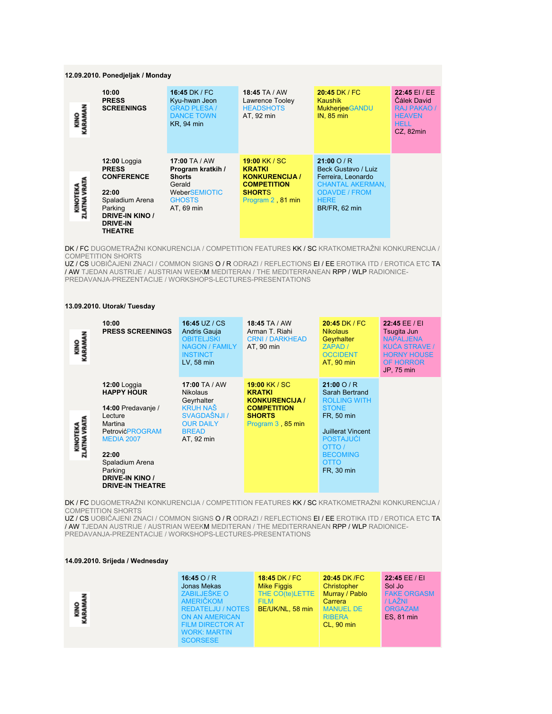#### **12.09.2010. Ponedjeljak / Monday**

| <b>KINO</b><br>ARAM     | 10:00<br><b>PRESS</b><br><b>SCREENINGS</b>                                                                                                                | 16:45 DK / FC<br>Kyu-hwan Jeon<br><b>GRAD PLESA /</b><br><b>DANCE TOWN</b><br><b>KR, 94 min</b>               | <b>18:45 TA / AW</b><br>Lawrence Tooley<br><b>HEADSHOTS</b><br>AT, 92 min                                           | $20:45$ DK / FC<br><b>Kaushik</b><br><b>Mukherjee GANDU</b><br><b>IN, 85 min</b>                                                         | 22:45 EI / EE<br>Čálek David<br><b>RAJ PAKAO /</b><br><b>HEAVEN</b><br><b>HELL</b><br>CZ, 82min |
|-------------------------|-----------------------------------------------------------------------------------------------------------------------------------------------------------|---------------------------------------------------------------------------------------------------------------|---------------------------------------------------------------------------------------------------------------------|------------------------------------------------------------------------------------------------------------------------------------------|-------------------------------------------------------------------------------------------------|
| KINOTEKA<br>LATNA VRATA | $12:00$ Loggia<br><b>PRESS</b><br><b>CONFERENCE</b><br>22:00<br>Spaladium Arena<br>Parking<br><b>DRIVE-IN KINO /</b><br><b>DRIVE-IN</b><br><b>THEATRE</b> | 17:00 TA / AW<br>Program kratkih /<br><b>Shorts</b><br>Gerald<br>WeberSEMIOTIC<br><b>GHOSTS</b><br>AT, 69 min | 19:00 KK / SC<br><b>KRATKI</b><br><b>KONKURENCIJA /</b><br><b>COMPETITION</b><br><b>SHORTS</b><br>Program 2, 81 min | 21:000/R<br>Beck Gustavo / Luiz<br>Ferreira, Leonardo<br><b>CHANTAL AKERMAN,</b><br><b>ODAVDE / FROM</b><br><b>HERE</b><br>BR/FR, 62 min |                                                                                                 |

DK / FC DUGOMETRAŽNI KONKURENCIJA / COMPETITION FEATURES KK / SC KRATKOMETRAŽNI KONKURENCIJA / COMPETITION SHORTS

UZ / CS UOBIČAJENI ZNACI / COMMON SIGNS O / R ODRAZI / REFLECTIONS EI / EE EROTIKA ITD / EROTICA ETC TA / AW TJEDAN AUSTRIJE / AUSTRIAN WEEKM MEDITERAN / THE MEDITERRANEAN RPP / WLP RADIONICE-PREDAVANJA-PREZENTACIJE / WORKSHOPS-LECTURES-PRESENTATIONS

## **13.09.2010. Utorak/ Tuesday**

| KINO<br>KARAMAN                  | 10:00<br><b>PRESS SCREENINGS</b>                                                                                                                                                                                                | 16:45 UZ / CS<br>Andris Gauja<br><b>OBITELJSKI</b><br><b>NAGON / FAMILY</b><br><b>INSTINCT</b><br>LV, 58 min                        | 18:45 TA / AW<br>Arman T. Riahi<br><b>CRNI / DARKHEAD</b><br>AT, 90 min                                             | 20:45 DK / FC<br><b>Nikolaus</b><br><b>Geyrhalter</b><br>ZAPAD /<br><b>OCCIDENT</b><br>AT, 90 min                                                                                              | 22:45 EE / EI<br>Tsugita Jun<br><b>NAPALJENA</b><br><b>KUĆA STRAVE /</b><br><b>HORNY HOUSE</b><br><b>OF HORROR</b><br>JP, 75 min |
|----------------------------------|---------------------------------------------------------------------------------------------------------------------------------------------------------------------------------------------------------------------------------|-------------------------------------------------------------------------------------------------------------------------------------|---------------------------------------------------------------------------------------------------------------------|------------------------------------------------------------------------------------------------------------------------------------------------------------------------------------------------|----------------------------------------------------------------------------------------------------------------------------------|
| VRATA<br>KINOTEKA<br>ZLATNA VRAT | <b>12:00 Loggia</b><br><b>HAPPY HOUR</b><br>14:00 Predavanje /<br>Lecture<br>Martina<br><b>PetrovićPROGRAM</b><br><b>MEDIA 2007</b><br>22:00<br>Spaladium Arena<br>Parking<br><b>DRIVE-IN KINO /</b><br><b>DRIVE-IN THEATRE</b> | 17:00 TA / AW<br><b>Nikolaus</b><br>Geyrhalter<br><b>KRUH NAŠ</b><br>SVAGDAŠNJI /<br><b>OUR DAILY</b><br><b>BREAD</b><br>AT, 92 min | 19:00 KK / SC<br><b>KRATKI</b><br><b>KONKURENCIJA /</b><br><b>COMPETITION</b><br><b>SHORTS</b><br>Program 3, 85 min | $21:00$ O / R<br>Sarah Bertrand<br><b>ROLLING WITH</b><br><b>STONE</b><br>FR, 50 min<br><b>Juillerat Vincent</b><br><b>POSTAJUCI</b><br>OTTO /<br><b>BECOMING</b><br><b>OTTO</b><br>FR, 30 min |                                                                                                                                  |

DK / FC DUGOMETRAŽNI KONKURENCIJA / COMPETITION FEATURES KK / SC KRATKOMETRAŽNI KONKURENCIJA / COMPETITION SHORTS

UZ / CS UOBIČAJENI ZNACI / COMMON SIGNS O / R ODRAZI / REFLECTIONS EI / EE EROTIKA ITD / EROTICA ETC TA / AW TJEDAN AUSTRIJE / AUSTRIAN WEEKM MEDITERAN / THE MEDITERRANEAN RPP / WLP RADIONICE-PREDAVANJA-PREZENTACIJE / WORKSHOPS-LECTURES-PRESENTATIONS

#### **14.09.2010. Srijeda / Wednesday**

|                       | 16:45 $O/R$                                                                                                            | 18:45 DK / FC      | 20:45 DK /FC                                           | 22:45 EE / EI                       |
|-----------------------|------------------------------------------------------------------------------------------------------------------------|--------------------|--------------------------------------------------------|-------------------------------------|
|                       | Jonas Mekas                                                                                                            | <b>Mike Figgis</b> | Christopher                                            | Sol Jo                              |
|                       | ZABILJEŠKE O                                                                                                           | THE CO(te)LETTE    | Murray / Pablo                                         | <b>FAKE ORGASM</b>                  |
|                       | <b>AMERIČKOM</b>                                                                                                       | <b>FILM</b>        | Carrera                                                | / LAŽNI                             |
| <b>KINO</b><br>ARAMAN | <b>REDATELJU / NOTES</b><br><b>ON AN AMERICAN</b><br><b>FILM DIRECTOR AT</b><br><b>WORK: MARTIN</b><br><b>SCORSESE</b> | BE/UK/NL, 58 min   | <b>MANUEL DE</b><br><b>RIBERA</b><br><b>CL. 90 min</b> | <b>ORGAZAM</b><br><b>ES, 81 min</b> |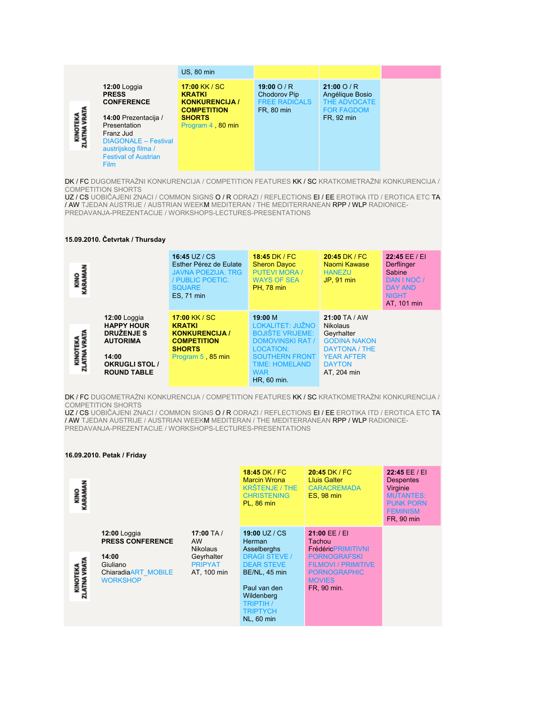|                         |                                                                                                                                                       | <b>US. 80 min.</b>                                                            |                                                                          |                                                                       |
|-------------------------|-------------------------------------------------------------------------------------------------------------------------------------------------------|-------------------------------------------------------------------------------|--------------------------------------------------------------------------|-----------------------------------------------------------------------|
|                         | $12:00$ Loggia<br><b>PRESS</b><br><b>CONFERENCE</b>                                                                                                   | 17:00 KK / SC<br><b>KRATKI</b><br><b>KONKURENCIJA /</b><br><b>COMPETITION</b> | 19:00 $O/R$<br><b>Chodorov Pip</b><br><b>FREE RADICALS</b><br>FR, 80 min | $21:00$ O / R<br>Angélique Bosio<br>THE ADVOCATE<br><b>FOR FAGDOM</b> |
| KINOTEKA<br>ZLATNA VRAT | 14:00 Prezentacija /<br>Presentation<br>Franz Jud<br><b>DIAGONALE - Festival</b><br>austrijskog filma /<br><b>Festival of Austrian</b><br><b>Film</b> | <b>SHORTS</b><br>Program 4 80 min                                             |                                                                          | FR, 92 min                                                            |

DK / FC DUGOMETRAŽNI KONKURENCIJA / COMPETITION FEATURES KK / SC KRATKOMETRAŽNI KONKURENCIJA / COMPETITION SHORTS

UZ / CS UOBIČAJENI ZNACI / COMMON SIGNS O / R ODRAZI / REFLECTIONS EI / EE EROTIKA ITD / EROTICA ETC TA / AW TJEDAN AUSTRIJE / AUSTRIAN WEEKM MEDITERAN / THE MEDITERRANEAN RPP / WLP RADIONICE-PREDAVANJA-PREZENTACIJE / WORKSHOPS-LECTURES-PRESENTATIONS

## **15.09.2010. Četvrtak / Thursday**

| <b>KINO</b><br>KARAMA                                                                                                                                    | 16:45 UZ / CS<br>Esther Pérez de Eulate<br><b>JAVNA POEZIJA, TRG</b><br>/ PUBLIC POETIC.<br><b>SQUARE</b><br>ES, 71 min | 18:45 DK / FC<br><b>Sheron Davoc</b><br><b>PUTEVI MORA /</b><br><b>WAYS OF SEA</b><br><b>PH, 78 min</b>                                                                       | 20:45 DK / FC<br>Naomi Kawase<br><b>HANEZU</b><br>JP. 91 min                                                                           | 22:45 EE / EI<br>Derflinger<br>Sabine<br>DAN I NOC /<br><b>DAY AND</b><br><b>NIGHT</b><br>AT, 101 min |
|----------------------------------------------------------------------------------------------------------------------------------------------------------|-------------------------------------------------------------------------------------------------------------------------|-------------------------------------------------------------------------------------------------------------------------------------------------------------------------------|----------------------------------------------------------------------------------------------------------------------------------------|-------------------------------------------------------------------------------------------------------|
| $12:00$ Loggia<br><b>HAPPY HOUR</b><br>DRUŽENJE S<br>KINOTEKA<br>ZLATNA VRATA<br><b>AUTORIMA</b><br>14:00<br><b>OKRUGLI STOL /</b><br><b>ROUND TABLE</b> | 17:00 KK / SC<br><b>KRATKI</b><br><b>KONKURENCIJA /</b><br><b>COMPETITION</b><br><b>SHORTS</b><br>Program 5, 85 min     | 19:00 M<br>LOKALITET: JUŽNO<br><b>BOJIŠTE VRIJEME:</b><br><b>DOMOVINSKI RAT /</b><br>LOCATION:<br><b>SOUTHERN FRONT</b><br><b>TIME: HOMELAND</b><br><b>WAR</b><br>HR, 60 min. | $21:00$ TA / AW<br>Nikolaus<br>Geyrhalter<br><b>GODINA NAKON</b><br>DAYTONA / THE<br><b>YEAR AFTER</b><br><b>DAYTON</b><br>AT. 204 min |                                                                                                       |

DK / FC DUGOMETRAŽNI KONKURENCIJA / COMPETITION FEATURES KK / SC KRATKOMETRAŽNI KONKURENCIJA / COMPETITION SHORTS

UZ / CS UOBIČAJENI ZNACI / COMMON SIGNS O / R ODRAZI / REFLECTIONS EI / EE EROTIKA ITD / EROTICA ETC TA / AW TJEDAN AUSTRIJE / AUSTRIAN WEEKM MEDITERAN / THE MEDITERRANEAN RPP / WLP RADIONICE-PREDAVANJA-PREZENTACIJE / WORKSHOPS-LECTURES-PRESENTATIONS

#### **16.09.2010. Petak / Friday**

| <b>KINO</b><br>KARAMAI       |                                                                                                        |                                                                                             | 18:45 DK / FC<br><b>Marcin Wrona</b><br><b>KRŠTENJE / THE</b><br><b>CHRISTENING</b><br><b>PL, 86 min</b>                                                                                                | 20:45 DK / FC<br>Lluis Galter<br><b>CARACREMADA</b><br><b>ES, 98 min</b>                                                                                         | 22:45 EE / EI<br><b>Despentes</b><br>Virginie<br><b>MUTANTES:</b><br><b>PUNK PORN</b><br><b>FEMINISM</b><br><b>FR, 90 min</b> |
|------------------------------|--------------------------------------------------------------------------------------------------------|---------------------------------------------------------------------------------------------|---------------------------------------------------------------------------------------------------------------------------------------------------------------------------------------------------------|------------------------------------------------------------------------------------------------------------------------------------------------------------------|-------------------------------------------------------------------------------------------------------------------------------|
| KINOTEKA<br>LATNA VRATA<br>ನ | 12:00 Loggia<br><b>PRESS CONFERENCE</b><br>14:00<br>Giuliano<br>ChiaradiaART MOBILE<br><b>WORKSHOP</b> | 17:00 TA $/$<br><b>AW</b><br><b>Nikolaus</b><br>Geyrhalter<br><b>PRIPYAT</b><br>AT. 100 min | 19:00 UZ / $CS$<br>Herman<br><b>Asselberghs</b><br><b>DRAGI STEVE /</b><br><b>DEAR STEVE</b><br>BE/NL, 45 min<br>Paul van den<br>Wildenberg<br><b>TRIPTIH /</b><br><b>TRIPTYCH</b><br><b>NL, 60 min</b> | 21:00 EE / EI<br>Tachou<br><b>FrédéricPRIMITIVNI</b><br><b>PORNOGRAFSKI</b><br><b>FILMOVI / PRIMITIVE</b><br><b>PORNOGRAPHIC</b><br><b>MOVIES</b><br>FR. 90 min. |                                                                                                                               |